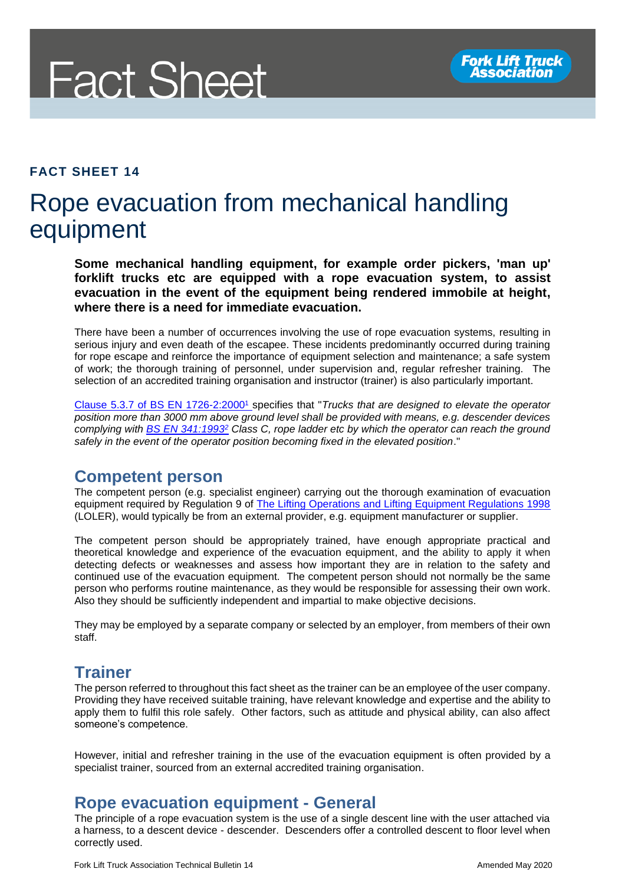

#### **FACT SHEET 14**

## Rope evacuation from mechanical handling equipment

**Some mechanical handling equipment, for example order pickers, 'man up' forklift trucks etc are equipped with a rope evacuation system, to assist evacuation in the event of the equipment being rendered immobile at height, where there is a need for immediate evacuation.**

There have been a number of occurrences involving the use of rope evacuation systems, resulting in serious injury and even death of the escapee. These incidents predominantly occurred during training for rope escape and reinforce the importance of equipment selection and maintenance; a safe system of work; the thorough training of personnel, under supervision and, regular refresher training. The selection of an accredited training organisation and instructor (trainer) is also particularly important.

[Clause 5.3.7 of BS EN 1726-2:2000](https://www.hse.gov.uk/foi/internalops/ocs/200-299/282_31.htm#BS-EN-1726)<sup>1</sup> specifies that "*Trucks that are designed to elevate the operator position more than 3000 mm above ground level shall be provided with means, e.g. descender devices complying with [BS EN 341:1993](https://www.hse.gov.uk/foi/internalops/ocs/200-299/282_31.htm#BS-EN-341)<sup>2</sup> Class C, rope ladder etc by which the operator can reach the ground safely in the event of the operator position becoming fixed in the elevated position*."

#### **Competent person**

The competent person (e.g. specialist engineer) carrying out the thorough examination of evacuation equipment required by Regulation 9 of [The Lifting Operations and Lifting Equipment Regulations 1998](http://www.legislation.gov.uk/uksi/1998/2307/regulation/9/made) (LOLER), would typically be from an external provider, e.g. equipment manufacturer or supplier.

The competent person should be appropriately trained, have enough appropriate practical and theoretical knowledge and experience of the evacuation equipment, and the ability to apply it when detecting defects or weaknesses and assess how important they are in relation to the safety and continued use of the evacuation equipment. The competent person should not normally be the same person who performs routine maintenance, as they would be responsible for assessing their own work. Also they should be sufficiently independent and impartial to make objective decisions.

They may be employed by a separate company or selected by an employer, from members of their own staff.

#### **Trainer**

The person referred to throughout this fact sheet as the trainer can be an employee of the user company. Providing they have received suitable training, have relevant knowledge and expertise and the ability to apply them to fulfil this role safely. Other factors, such as attitude and physical ability, can also affect someone's competence.

However, initial and refresher training in the use of the evacuation equipment is often provided by a specialist trainer, sourced from an external accredited training organisation.

#### **Rope evacuation equipment - General**

The principle of a rope evacuation system is the use of a single descent line with the user attached via a harness, to a descent device - descender. Descenders offer a controlled descent to floor level when correctly used.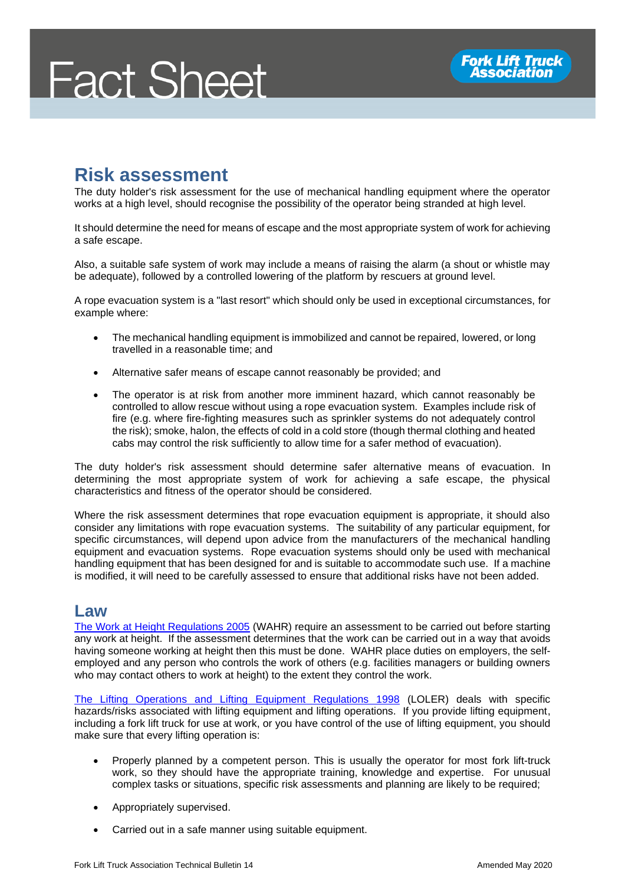# **Fact Sheet**

## **Risk assessment**

The duty holder's risk assessment for the use of mechanical handling equipment where the operator works at a high level, should recognise the possibility of the operator being stranded at high level.

It should determine the need for means of escape and the most appropriate system of work for achieving a safe escape.

Also, a suitable safe system of work may include a means of raising the alarm (a shout or whistle may be adequate), followed by a controlled lowering of the platform by rescuers at ground level.

A rope evacuation system is a "last resort" which should only be used in exceptional circumstances, for example where:

- The mechanical handling equipment is immobilized and cannot be repaired, lowered, or long travelled in a reasonable time; and
- Alternative safer means of escape cannot reasonably be provided; and
- The operator is at risk from another more imminent hazard, which cannot reasonably be controlled to allow rescue without using a rope evacuation system. Examples include risk of fire (e.g. where fire-fighting measures such as sprinkler systems do not adequately control the risk); smoke, halon, the effects of cold in a cold store (though thermal clothing and heated cabs may control the risk sufficiently to allow time for a safer method of evacuation).

The duty holder's risk assessment should determine safer alternative means of evacuation. In determining the most appropriate system of work for achieving a safe escape, the physical characteristics and fitness of the operator should be considered.

Where the risk assessment determines that rope evacuation equipment is appropriate, it should also consider any limitations with rope evacuation systems. The suitability of any particular equipment, for specific circumstances, will depend upon advice from the manufacturers of the mechanical handling equipment and evacuation systems. Rope evacuation systems should only be used with mechanical handling equipment that has been designed for and is suitable to accommodate such use. If a machine is modified, it will need to be carefully assessed to ensure that additional risks have not been added.

#### **Law**

[The Work at Height Regulations 2005](http://www.legislation.gov.uk/uksi/2005/735/contents) (WAHR) require an assessment to be carried out before starting any work at height. If the assessment determines that the work can be carried out in a way that avoids having someone working at height then this must be done. WAHR place duties on employers, the selfemployed and any person who controls the work of others (e.g. facilities managers or building owners who may contact others to work at height) to the extent they control the work.

[The Lifting Operations and Lifting Equipment Regulations 1998](http://www.legislation.gov.uk/uksi/1998/2307/contents/made) (LOLER) deals with specific hazards/risks associated with lifting equipment and lifting operations. If you provide lifting equipment, including a fork lift truck for use at work, or you have control of the use of lifting equipment, you should make sure that every lifting operation is:

- Properly planned by a competent person. This is usually the operator for most fork lift-truck work, so they should have the appropriate training, knowledge and expertise. For unusual complex tasks or situations, specific risk assessments and planning are likely to be required;
- Appropriately supervised.
- Carried out in a safe manner using suitable equipment.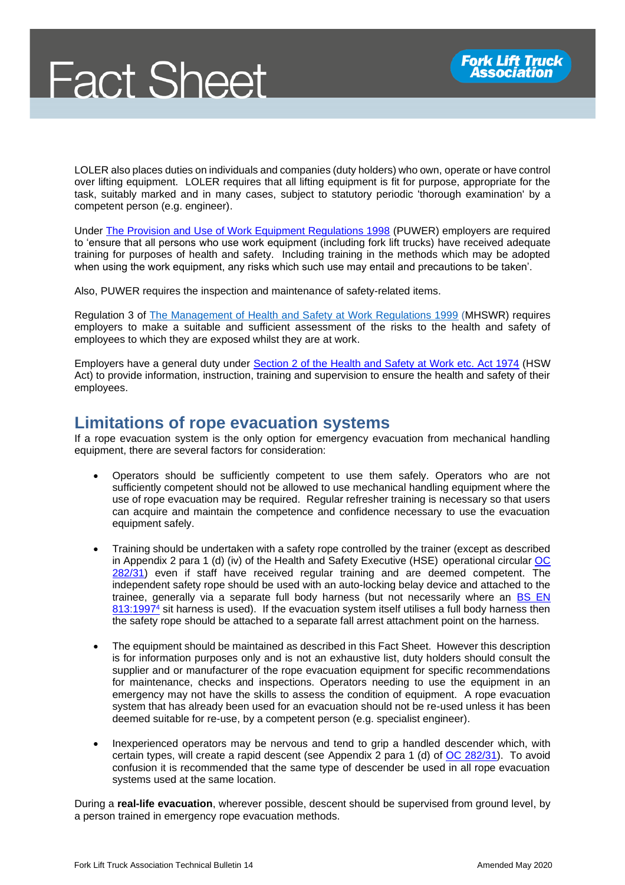LOLER also places duties on individuals and companies (duty holders) who own, operate or have control over lifting equipment. LOLER requires that all lifting equipment is fit for purpose, appropriate for the task, suitably marked and in many cases, subject to statutory periodic 'thorough examination' by a competent person (e.g. engineer).

Under [The Provision and Use of Work Equipment Regulations 1998](http://www.legislation.gov.uk/uksi/1998/2306/contents/made) (PUWER) employers are required to 'ensure that all persons who use work equipment (including fork lift trucks) have received adequate training for purposes of health and safety. Including training in the methods which may be adopted when using the work equipment, any risks which such use may entail and precautions to be taken'.

Also, PUWER requires the inspection and maintenance of safety-related items.

Regulation 3 of [The Management of Health and Safety at Work Regulations 1999](http://www.legislation.gov.uk/uksi/1999/3242/contents/made) (MHSWR) requires employers to make a suitable and sufficient assessment of the risks to the health and safety of employees to which they are exposed whilst they are at work.

Employers have a general duty under [Section 2 of the Health and Safety at Work etc. Act 1974](http://www.legislation.gov.uk/ukpga/1974/37/section/2) (HSW Act) to provide information, instruction, training and supervision to ensure the health and safety of their employees.

#### **Limitations of rope evacuation systems**

If a rope evacuation system is the only option for emergency evacuation from mechanical handling equipment, there are several factors for consideration:

- Operators should be sufficiently competent to use them safely. Operators who are not sufficiently competent should not be allowed to use mechanical handling equipment where the use of rope evacuation may be required. Regular refresher training is necessary so that users can acquire and maintain the competence and confidence necessary to use the evacuation equipment safely.
- Training should be undertaken with a safety rope controlled by the trainer (except as described in [Appendix 2 para 1 \(d\) \(iv\)](https://www.hse.gov.uk/foi/internalops/ocs/200-299/282_31.htm#Appendix-2-para-1-d-iv) of the Health and Safety Executive (HSE) operational circular OC [282/31\)](https://www.hse.gov.uk/foi/internalops/ocs/200-299/282_31.htm) even if staff have received regular training and are deemed competent. The independent safety rope should be used with an auto-locking belay device and attached to the trainee, generally via a separate full body harness (but not necessarily where an BS EN [813:1997](https://www.hse.gov.uk/foi/internalops/ocs/200-299/282_31.htm#BS-EN-813)<sup>4</sup> sit harness is used). If the evacuation system itself utilises a full body harness then the safety rope should be attached to a separate fall arrest attachment point on the harness.
- The equipment should be maintained as described in this Fact Sheet. However this description is for information purposes only and is not an exhaustive list, duty holders should consult the supplier and or manufacturer of the rope evacuation equipment for specific recommendations for maintenance, checks and inspections. Operators needing to use the equipment in an emergency may not have the skills to assess the condition of equipment. A rope evacuation system that has already been used for an evacuation should not be re-used unless it has been deemed suitable for re-use, by a competent person (e.g. specialist engineer).
- Inexperienced operators may be nervous and tend to grip a handled descender which, with certain types, will create a rapid descent (see [Appendix 2 para 1 \(d\)](https://www.hse.gov.uk/foi/internalops/ocs/200-299/282_31.htm#Appendix-2-para-1-d-iv) of [OC 282/31\)](https://www.hse.gov.uk/foi/internalops/ocs/200-299/282_31.htm). To avoid confusion it is recommended that the same type of descender be used in all rope evacuation systems used at the same location.

During a **real-life evacuation**, wherever possible, descent should be supervised from ground level, by a person trained in emergency rope evacuation methods.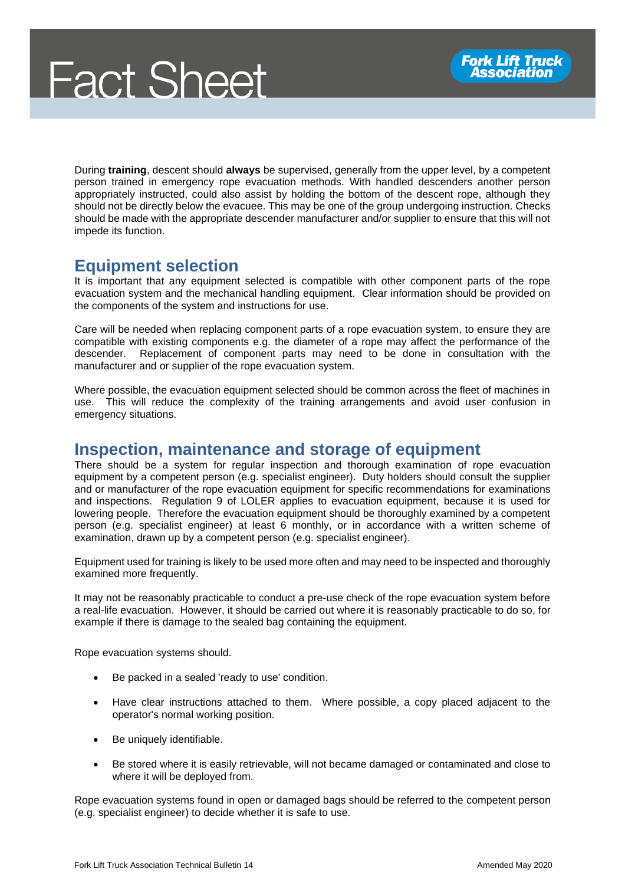During **training**, descent should **always** be supervised, generally from the upper level, by a competent person trained in emergency rope evacuation methods. With handled descenders another person appropriately instructed, could also assist by holding the bottom of the descent rope, although they should not be directly below the evacuee. This may be one of the group undergoing instruction. Checks should be made with the appropriate descender manufacturer and/or supplier to ensure that this will not impede its function.

#### **Equipment selection**

It is important that any equipment selected is compatible with other component parts of the rope evacuation system and the mechanical handling equipment. Clear information should be provided on the components of the system and instructions for use.

Care will be needed when replacing component parts of a rope evacuation system, to ensure they are compatible with existing components e.g. the diameter of a rope may affect the performance of the descender. Replacement of component parts may need to be done in consultation with the manufacturer and or supplier of the rope evacuation system.

Where possible, the evacuation equipment selected should be common across the fleet of machines in use. This will reduce the complexity of the training arrangements and avoid user confusion in emergency situations.

#### **Inspection, maintenance and storage of equipment**

There should be a system for regular inspection and thorough examination of rope evacuation equipment by a competent person (e.g. specialist engineer). Duty holders should consult the supplier and or manufacturer of the rope evacuation equipment for specific recommendations for examinations and inspections. Regulation 9 of LOLER applies to evacuation equipment, because it is used for lowering people. Therefore the evacuation equipment should be thoroughly examined by a competent person (e.g. specialist engineer) at least 6 monthly, or in accordance with a written scheme of examination, drawn up by a competent person (e.g. specialist engineer).

Equipment used for training is likely to be used more often and may need to be inspected and thoroughly examined more frequently.

It may not be reasonably practicable to conduct a pre-use check of the rope evacuation system before a real-life evacuation. However, it should be carried out where it is reasonably practicable to do so, for example if there is damage to the sealed bag containing the equipment.

Rope evacuation systems should.

- Be packed in a sealed 'ready to use' condition.
- Have clear instructions attached to them. Where possible, a copy placed adjacent to the operator's normal working position.
- Be uniquely identifiable.
- Be stored where it is easily retrievable, will not became damaged or contaminated and close to where it will be deployed from.

Rope evacuation systems found in open or damaged bags should be referred to the competent person (e.g. specialist engineer) to decide whether it is safe to use.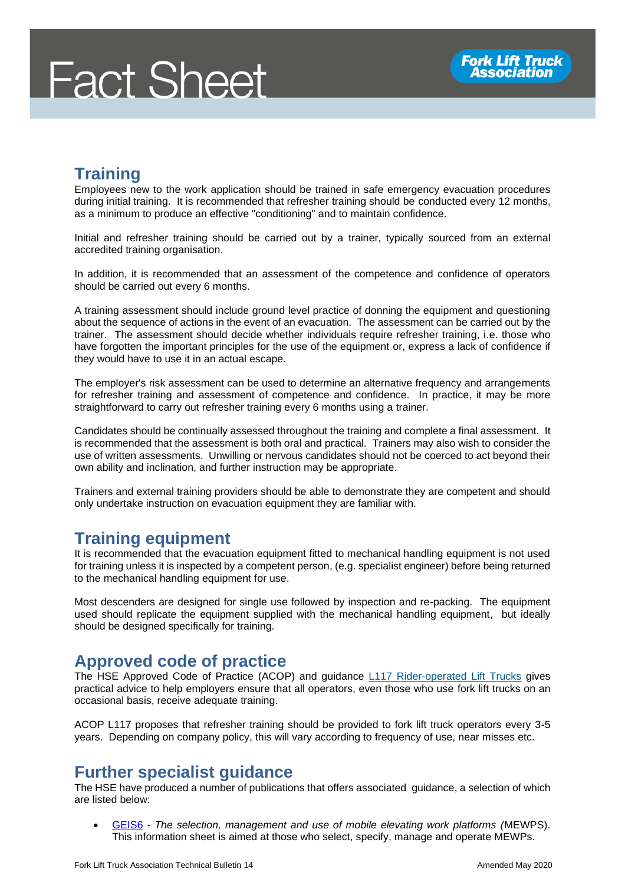## **Training**

Employees new to the work application should be trained in safe emergency evacuation procedures during initial training. It is recommended that refresher training should be conducted every 12 months, as a minimum to produce an effective "conditioning" and to maintain confidence.

Initial and refresher training should be carried out by a trainer, typically sourced from an external accredited training organisation.

In addition, it is recommended that an assessment of the competence and confidence of operators should be carried out every 6 months.

A training assessment should include ground level practice of donning the equipment and questioning about the sequence of actions in the event of an evacuation. The assessment can be carried out by the trainer. The assessment should decide whether individuals require refresher training, i.e. those who have forgotten the important principles for the use of the equipment or, express a lack of confidence if they would have to use it in an actual escape.

The employer's risk assessment can be used to determine an alternative frequency and arrangements for refresher training and assessment of competence and confidence. In practice, it may be more straightforward to carry out refresher training every 6 months using a trainer.

Candidates should be continually assessed throughout the training and complete a final assessment. It is recommended that the assessment is both oral and practical. Trainers may also wish to consider the use of written assessments. Unwilling or nervous candidates should not be coerced to act beyond their own ability and inclination, and further instruction may be appropriate.

Trainers and external training providers should be able to demonstrate they are competent and should only undertake instruction on evacuation equipment they are familiar with.

## **Training equipment**

It is recommended that the evacuation equipment fitted to mechanical handling equipment is not used for training unless it is inspected by a competent person, (e.g. specialist engineer) before being returned to the mechanical handling equipment for use.

Most descenders are designed for single use followed by inspection and re-packing. The equipment used should replicate the equipment supplied with the mechanical handling equipment, but ideally should be designed specifically for training.

## **Approved code of practice**

The HSE Approved Code of Practice (ACOP) and guidance *[L117 Rider-operated Lift Trucks](http://www.hse.gov.uk/pUbns/priced/l117.pdf)* gives practical advice to help employers ensure that all operators, even those who use fork lift trucks on an occasional basis, receive adequate training.

ACOP L117 proposes that refresher training should be provided to fork lift truck operators every 3-5 years. Depending on company policy, this will vary according to frequency of use, near misses etc.

#### **Further specialist guidance**

The HSE have produced a number of publications that offers associated guidance, a selection of which are listed below:

• [GEIS6](https://www.hse.gov.uk/pubns/geis6.pdf) - *The selection, management and use of mobile elevating work platforms (*MEWPS). This information sheet is aimed at those who select, specify, manage and operate MEWPs.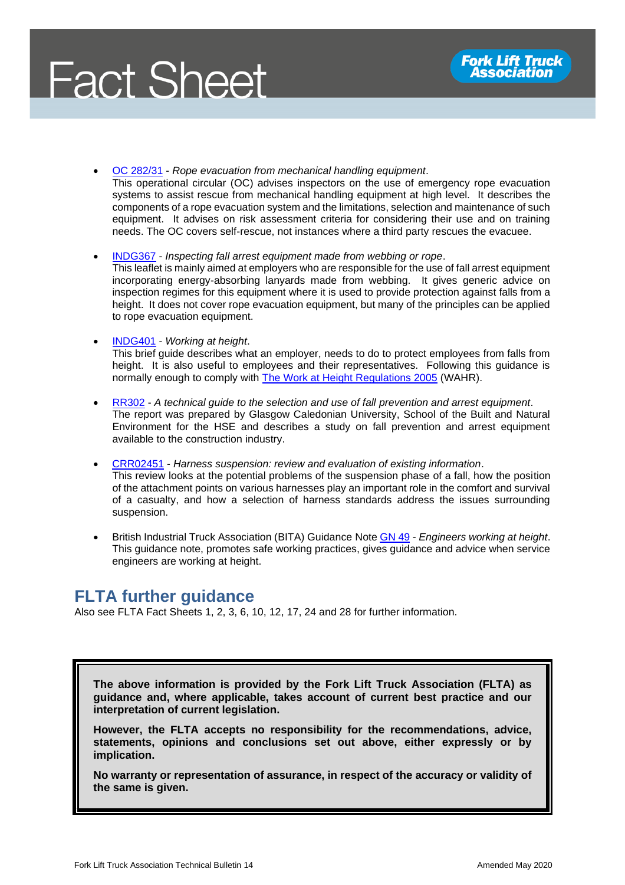

• [OC 282/31](https://www.hse.gov.uk/foi/internalops/ocs/200-299/282_31.htm) - *Rope evacuation from mechanical handling equipment*. This operational circular (OC) advises inspectors on the use of emergency rope evacuation systems to assist rescue from mechanical handling equipment at high level. It describes the components of a rope evacuation system and the limitations, selection and maintenance of such equipment. It advises on risk assessment criteria for considering their use and on training needs. The OC covers self-rescue, not instances where a third party rescues the evacuee.

- [INDG367](http://uni-safeaccess.co.uk/pdfs/ifae.pdf) *Inspecting fall arrest equipment made from webbing or rope*. This leaflet is mainly aimed at employers who are responsible for the use of fall arrest equipment incorporating energy-absorbing lanyards made from webbing. It gives generic advice on inspection regimes for this equipment where it is used to provide protection against falls from a height. It does not cover rope evacuation equipment, but many of the principles can be applied to rope evacuation equipment.
- [INDG401](https://www.hse.gov.uk/pubns/indg401.pdf) *Working at height*.

This brief guide describes what an employer, needs to do to protect employees from falls from height. It is also useful to employees and their representatives. Following this guidance is normally enough to comply with [The Work at Height Regulations 2005](http://www.legislation.gov.uk/uksi/2005/735/contents) (WAHR).

- [RR302](https://www.hse.gov.uk/research/rrhtm/rr302.htm) *A technical guide to the selection and use of fall prevention and arrest equipment*. The report was prepared by Glasgow Caledonian University, School of the Built and Natural Environment for the HSE and describes a study on fall prevention and arrest equipment available to the construction industry.
- [CRR02451](https://www.hse.gov.uk/research/crr_pdf/2002/crr02451.pdf) *Harness suspension: review and evaluation of existing information*. This review looks at the potential problems of the suspension phase of a fall, how the position of the attachment points on various harnesses play an important role in the comfort and survival of a casualty, and how a selection of harness standards address the issues surrounding suspension.
- British Industrial Truck Association (BITA) Guidance Not[e GN 49](https://www.bita.org.uk/shop/) *Engineers working at height*. This guidance note, promotes safe working practices, gives guidance and advice when service engineers are working at height.

#### **FLTA further guidance**

Also see FLTA Fact Sheets 1, 2, 3, 6, 10, 12, 17, 24 and 28 for further information.

**The above information is provided by the Fork Lift Truck Association (FLTA) as guidance and, where applicable, takes account of current best practice and our interpretation of current legislation.** 

**However, the FLTA accepts no responsibility for the recommendations, advice, statements, opinions and conclusions set out above, either expressly or by implication.**

**No warranty or representation of assurance, in respect of the accuracy or validity of the same is given.**